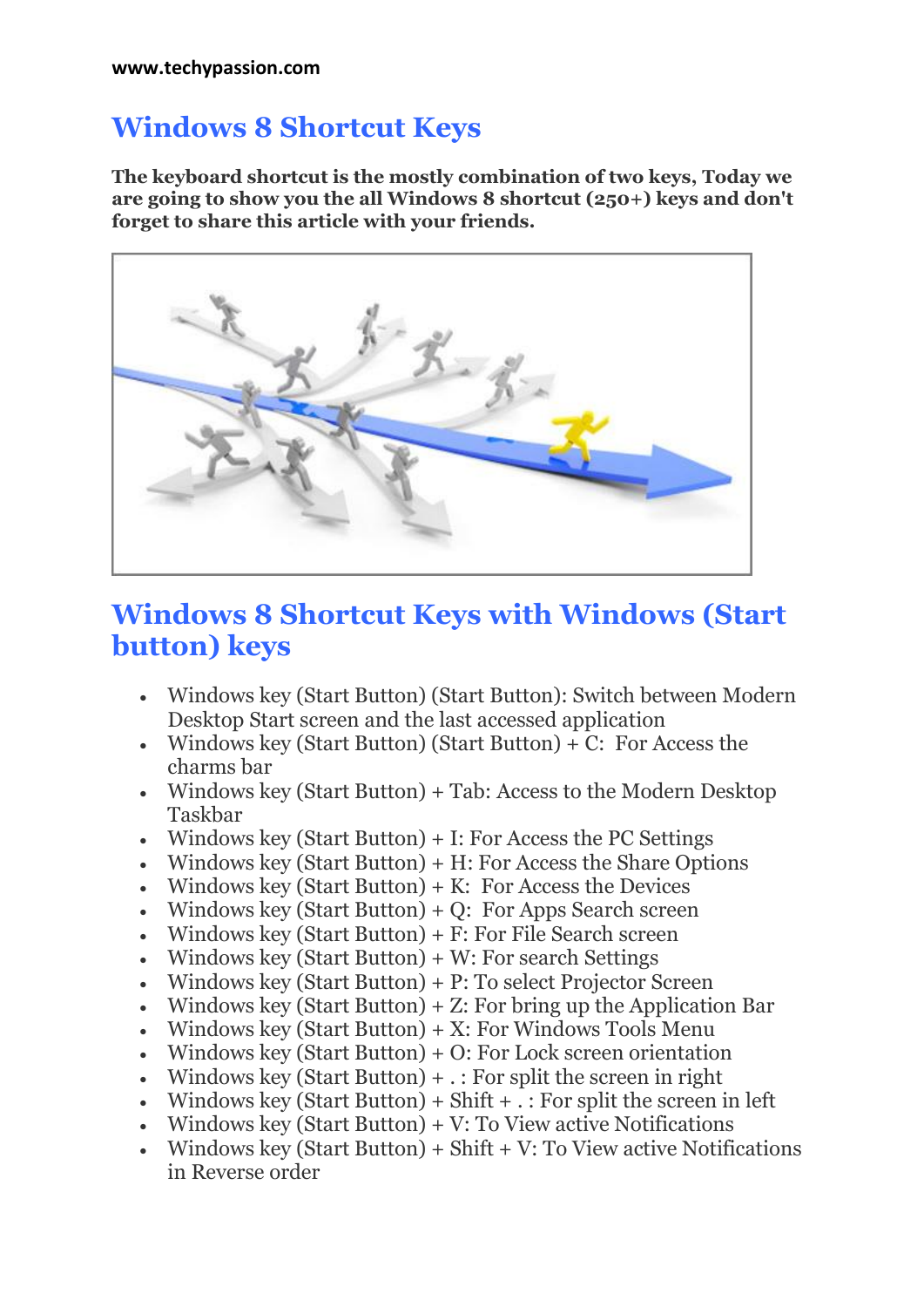#### **Windows 8 Shortcut Keys**

**The keyboard shortcut is the mostly combination of two keys, Today we are going to show you the all Windows 8 shortcut (250+) keys and don't forget to share this article with your friends.**



#### **Windows 8 Shortcut Keys with Windows (Start button) keys**

- Windows key (Start Button) (Start Button): Switch between Modern Desktop Start screen and the last accessed application
- Windows key (Start Button) (Start Button)  $+ C$ : For Access the charms bar
- Windows key (Start Button) + Tab: Access to the Modern Desktop Taskbar
- Windows key (Start Button)  $+$  I: For Access the PC Settings
- Windows key (Start Button)  $+ H$ : For Access the Share Options
- Windows key (Start Button)  $+$  K: For Access the Devices
- Windows key (Start Button) + Q: For Apps Search screen
- Windows key (Start Button)  $+ F$ : For File Search screen
- Windows key (Start Button)  $+$  W: For search Settings
- Windows key (Start Button) + P: To select Projector Screen
- Windows key (Start Button)  $+ Z$ : For bring up the Application Bar
- Windows key (Start Button)  $+ X:$  For Windows Tools Menu
- Windows key (Start Button)  $+$  O: For Lock screen orientation
- Windows key (Start Button)  $+$  . : For split the screen in right
- Windows key (Start Button) + Shift  $+$  .: For split the screen in left
- Windows key (Start Button)  $+V$ : To View active Notifications
- Windows key (Start Button) + Shift + V: To View active Notifications in Reverse order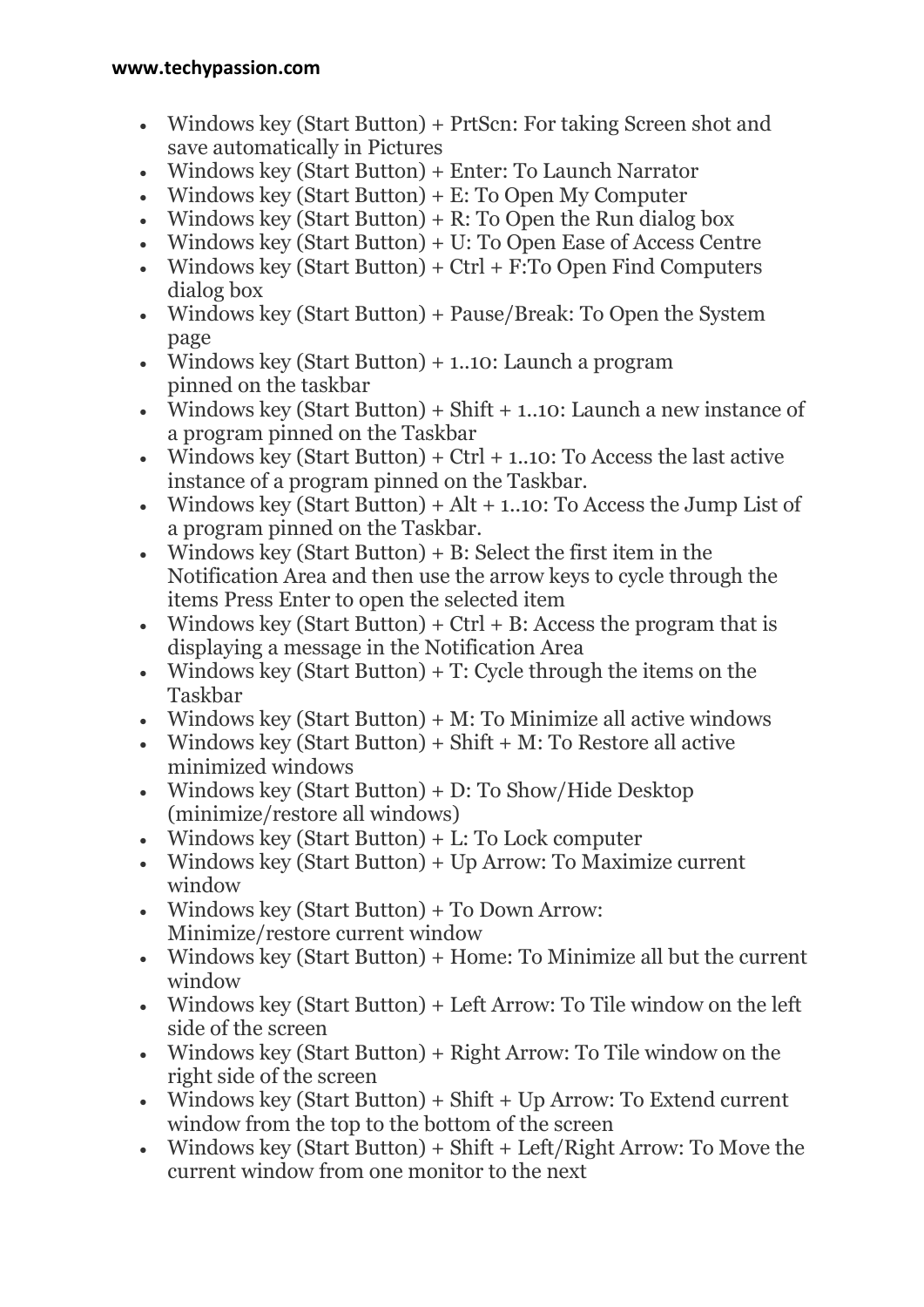- Windows key (Start Button) + PrtScn: For taking Screen shot and save automatically in Pictures
- Windows key (Start Button) + Enter: To Launch Narrator
- Windows key (Start Button) + E: To Open My Computer
- Windows key (Start Button)  $+ R$ : To Open the Run dialog box
- Windows key (Start Button) + U: To Open Ease of Access Centre
- Windows key (Start Button) +  $Ctrl + F: To Open Find Computers$ dialog box
- Windows key (Start Button) + Pause/Break: To Open the System page
- Windows key (Start Button) + 1..10: Launch a program pinned on the taskbar
- Windows key (Start Button) + Shift  $+$  1..10: Launch a new instance of a program pinned on the Taskbar
- Windows key (Start Button) + Ctrl  $+$  1..10: To Access the last active instance of a program pinned on the Taskbar.
- Windows key (Start Button) +  $Alt + 1.10$ : To Access the Jump List of a program pinned on the Taskbar.
- Windows key (Start Button)  $+ B$ : Select the first item in the Notification Area and then use the arrow keys to cycle through the items Press Enter to open the selected item
- Windows key (Start Button) +  $Ctrl + B$ : Access the program that is displaying a message in the Notification Area
- Windows key (Start Button)  $+$  T: Cycle through the items on the Taskbar
- Windows key (Start Button)  $+ M$ : To Minimize all active windows
- Windows key (Start Button) + Shift  $+ M$ : To Restore all active minimized windows
- Windows key (Start Button) + D: To Show/Hide Desktop (minimize/restore all windows)
- $\bullet$  Windows key (Start Button) + L: To Lock computer
- Windows key (Start Button) + Up Arrow: To Maximize current window
- Windows key (Start Button) + To Down Arrow: Minimize/restore current window
- Windows key (Start Button) + Home: To Minimize all but the current window
- Windows key (Start Button) + Left Arrow: To Tile window on the left side of the screen
- Windows key (Start Button) + Right Arrow: To Tile window on the right side of the screen
- Windows key (Start Button) + Shift + Up Arrow: To Extend current window from the top to the bottom of the screen
- Windows key (Start Button) + Shift + Left/Right Arrow: To Move the current window from one monitor to the next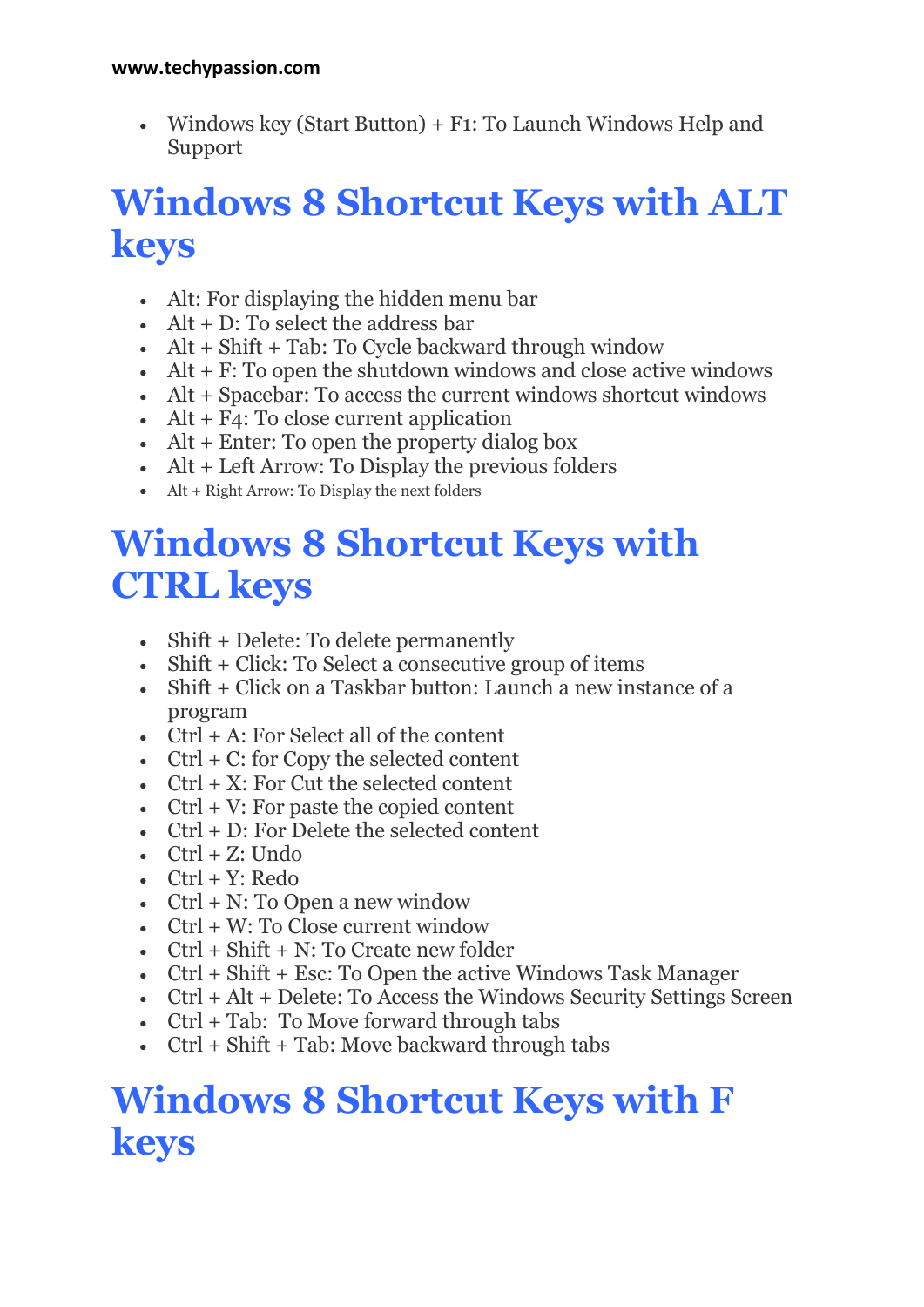Windows key (Start Button) + F1: To Launch Windows Help and Support

# **Windows 8 Shortcut Keys with ALT keys**

- Alt: For displaying the hidden menu bar
- $\bullet$  Alt + D: To select the address bar
- $\bullet$  Alt + Shift + Tab: To Cycle backward through window
- $\bullet$  Alt + F: To open the shutdown windows and close active windows
- Alt + Spacebar: To access the current windows shortcut windows
- $\bullet$  Alt + F4: To close current application
- $\bullet$  Alt + Enter: To open the property dialog box
- Alt + Left Arrow: To Display the previous folders
- $\bullet$  Alt + Right Arrow: To Display the next folders

# **Windows 8 Shortcut Keys with CTRL keys**

- Shift + Delete: To delete permanently
- Shift + Click: To Select a consecutive group of items
- Shift + Click on a Taskbar button: Launch a new instance of a program
- $\bullet$  Ctrl + A: For Select all of the content
- $\bullet$  Ctrl + C: for Copy the selected content
- $\bullet$  Ctrl + X: For Cut the selected content
- $\bullet$  Ctrl + V: For paste the copied content
- Ctrl + D: For Delete the selected content
- $\cdot$  Ctrl + Z: Undo
- $\bullet$  Ctrl + Y: Redo
- $\bullet$  Ctrl + N: To Open a new window
- $\bullet$  Ctrl + W: To Close current window
- $\bullet$  Ctrl + Shift + N: To Create new folder
- Ctrl + Shift + Esc: To Open the active Windows Task Manager
- Ctrl + Alt + Delete: To Access the Windows Security Settings Screen
- Ctrl + Tab: To Move forward through tabs
- $\cdot$  Ctrl + Shift + Tab: Move backward through tabs

# **Windows 8 Shortcut Keys with F keys**